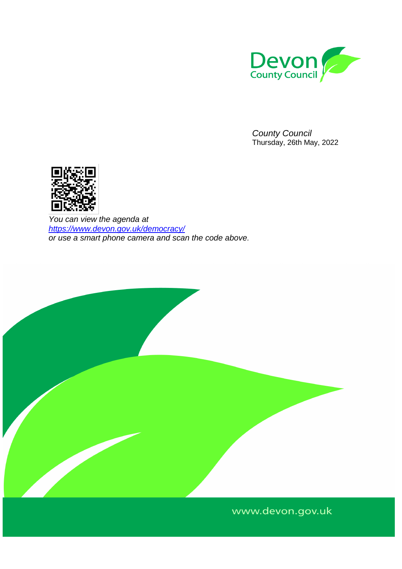

*County Council*  Thursday, 26th May, 2022



*You can view the agenda at <https://www.devon.gov.uk/democracy/> or use a smart phone camera and scan the code above.*



# www.devon.gov.uk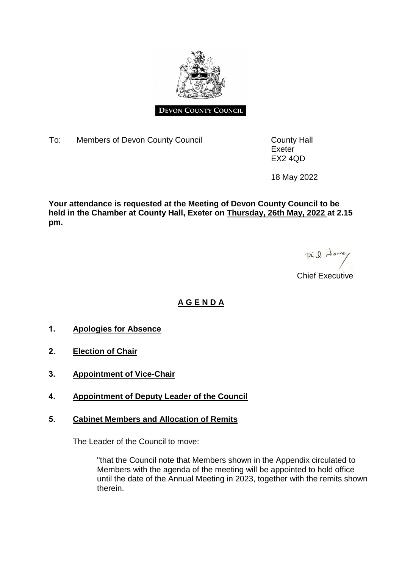

#### **DEVON COUNTY COUNCIL**

To: Members of Devon County Council **County County Hall** 

Exeter EX2 4QD

18 May 2022

**Your attendance is requested at the Meeting of Devon County Council to be held in the Chamber at County Hall, Exeter on Thursday, 26th May, 2022 at 2.15 pm.**

Pil dorrey

Chief Executive

# **A G E N D A**

- **1. Apologies for Absence**
- **2. Election of Chair**
- **3. Appointment of Vice-Chair**
- **4. Appointment of Deputy Leader of the Council**

### **5. Cabinet Members and Allocation of Remits**

The Leader of the Council to move:

"that the Council note that Members shown in the Appendix circulated to Members with the agenda of the meeting will be appointed to hold office until the date of the Annual Meeting in 2023, together with the remits shown therein.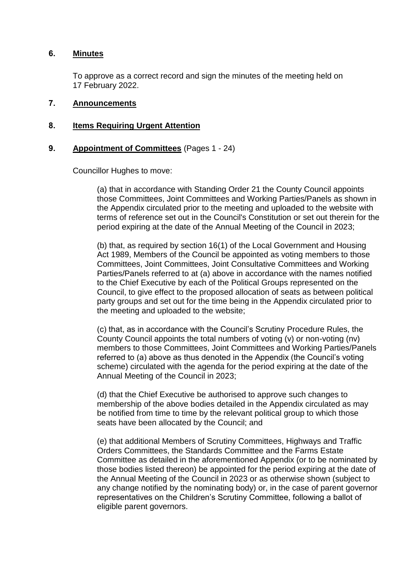#### **6. Minutes**

To approve as a correct record and sign the minutes of the meeting held on 17 February 2022.

### **7. Announcements**

### **8. Items Requiring Urgent Attention**

### **9. Appointment of Committees** (Pages 1 - 24)

Councillor Hughes to move:

(a) that in accordance with Standing Order 21 the County Council appoints those Committees, Joint Committees and Working Parties/Panels as shown in the Appendix circulated prior to the meeting and uploaded to the website with terms of reference set out in the Council's Constitution or set out therein for the period expiring at the date of the Annual Meeting of the Council in 2023;

(b) that, as required by section 16(1) of the Local Government and Housing Act 1989, Members of the Council be appointed as voting members to those Committees, Joint Committees, Joint Consultative Committees and Working Parties/Panels referred to at (a) above in accordance with the names notified to the Chief Executive by each of the Political Groups represented on the Council, to give effect to the proposed allocation of seats as between political party groups and set out for the time being in the Appendix circulated prior to the meeting and uploaded to the website;

(c) that, as in accordance with the Council's Scrutiny Procedure Rules, the County Council appoints the total numbers of voting (v) or non-voting (nv) members to those Committees, Joint Committees and Working Parties/Panels referred to (a) above as thus denoted in the Appendix (the Council's voting scheme) circulated with the agenda for the period expiring at the date of the Annual Meeting of the Council in 2023;

(d) that the Chief Executive be authorised to approve such changes to membership of the above bodies detailed in the Appendix circulated as may be notified from time to time by the relevant political group to which those seats have been allocated by the Council; and

(e) that additional Members of Scrutiny Committees, Highways and Traffic Orders Committees, the Standards Committee and the Farms Estate Committee as detailed in the aforementioned Appendix (or to be nominated by those bodies listed thereon) be appointed for the period expiring at the date of the Annual Meeting of the Council in 2023 or as otherwise shown (subject to any change notified by the nominating body) or, in the case of parent governor representatives on the Children's Scrutiny Committee, following a ballot of eligible parent governors.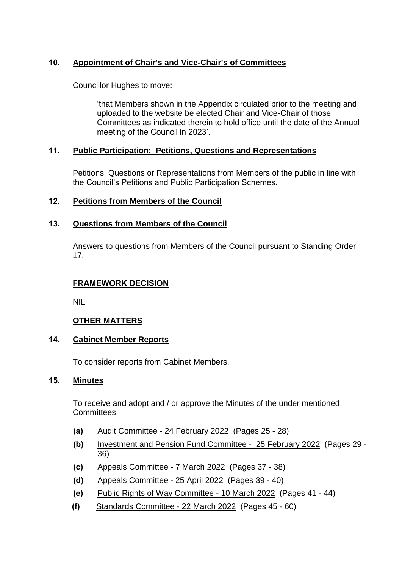# **10. Appointment of Chair's and Vice-Chair's of Committees**

Councillor Hughes to move:

'that Members shown in the Appendix circulated prior to the meeting and uploaded to the website be elected Chair and Vice-Chair of those Committees as indicated therein to hold office until the date of the Annual meeting of the Council in 2023'.

# **11. Public Participation: Petitions, Questions and Representations**

Petitions, Questions or Representations from Members of the public in line with the Council's Petitions and Public Participation Schemes.

# **12. Petitions from Members of the Council**

# **13. Questions from Members of the Council**

Answers to questions from Members of the Council pursuant to Standing Order 17.

# **FRAMEWORK DECISION**

NIL

# **OTHER MATTERS**

### **14. Cabinet Member Reports**

To consider reports from Cabinet Members.

# **15. Minutes**

To receive and adopt and / or approve the Minutes of the under mentioned **Committees** 

- **(a)** Audit Committee 24 February 2022 (Pages 25 28)
- **(b)** Investment and Pension Fund Committee 25 February 2022 (Pages 29 36)
- **(c)** Appeals Committee 7 March 2022 (Pages 37 38)
- **(d)** Appeals Committee 25 April 2022 (Pages 39 40)
- **(e)** Public Rights of Way Committee 10 March 2022 (Pages 41 44)
- **(f)** Standards Committee 22 March 2022 (Pages 45 60)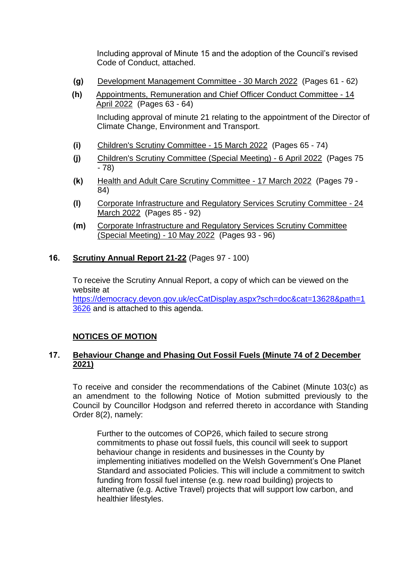Including approval of Minute 15 and the adoption of the Council's revised Code of Conduct, attached.

- **(g)** Development Management Committee 30 March 2022 (Pages 61 62)
- **(h)** Appointments, Remuneration and Chief Officer Conduct Committee 14 April 2022 (Pages 63 - 64) Including approval of minute 21 relating to the appointment of the Director of Climate Change, Environment and Transport.
- **(i)** Children's Scrutiny Committee 15 March 2022 (Pages 65 74)
- **(j)** Children's Scrutiny Committee (Special Meeting) 6 April 2022 (Pages 75 - 78)
- **(k)** Health and Adult Care Scrutiny Committee 17 March 2022 (Pages 79 84)
- **(l)** Corporate Infrastructure and Regulatory Services Scrutiny Committee 24 March 2022 (Pages 85 - 92)
- **(m)** Corporate Infrastructure and Regulatory Services Scrutiny Committee (Special Meeting) - 10 May 2022 (Pages 93 - 96)
- **16. Scrutiny Annual Report 21-22** (Pages 97 100)

To receive the Scrutiny Annual Report, a copy of which can be viewed on the website at [https://democracy.devon.gov.uk/ecCatDisplay.aspx?sch=doc&cat=13628&path=1](https://democracy.devon.gov.uk/ecCatDisplay.aspx?sch=doc&cat=13628&path=13626) [3626](https://democracy.devon.gov.uk/ecCatDisplay.aspx?sch=doc&cat=13628&path=13626) and is attached to this agenda.

# **NOTICES OF MOTION**

# **17. Behaviour Change and Phasing Out Fossil Fuels (Minute 74 of 2 December 2021)**

To receive and consider the recommendations of the Cabinet (Minute 103(c) as an amendment to the following Notice of Motion submitted previously to the Council by Councillor Hodgson and referred thereto in accordance with Standing Order 8(2), namely:

Further to the outcomes of COP26, which failed to secure strong commitments to phase out fossil fuels, this council will seek to support behaviour change in residents and businesses in the County by implementing initiatives modelled on the Welsh Government's One Planet Standard and associated Policies. This will include a commitment to switch funding from fossil fuel intense (e.g. new road building) projects to alternative (e.g. Active Travel) projects that will support low carbon, and healthier lifestyles.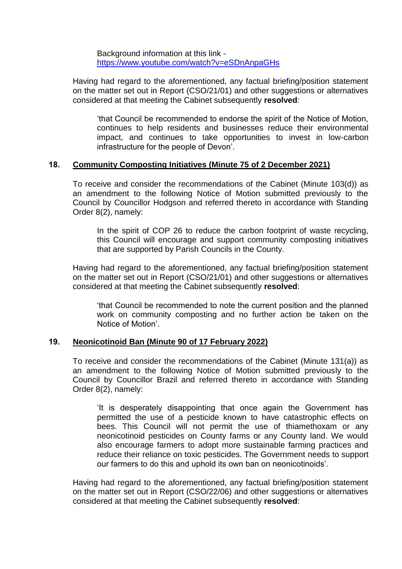Background information at this link <https://www.youtube.com/watch?v=eSDnAnpaGHs>

Having had regard to the aforementioned, any factual briefing/position statement on the matter set out in Report (CSO/21/01) and other suggestions or alternatives considered at that meeting the Cabinet subsequently **resolved**:

'that Council be recommended to endorse the spirit of the Notice of Motion, continues to help residents and businesses reduce their environmental impact, and continues to take opportunities to invest in low-carbon infrastructure for the people of Devon'.

### **18. Community Composting Initiatives (Minute 75 of 2 December 2021)**

To receive and consider the recommendations of the Cabinet (Minute 103(d)) as an amendment to the following Notice of Motion submitted previously to the Council by Councillor Hodgson and referred thereto in accordance with Standing Order 8(2), namely:

In the spirit of COP 26 to reduce the carbon footprint of waste recycling, this Council will encourage and support community composting initiatives that are supported by Parish Councils in the County.

Having had regard to the aforementioned, any factual briefing/position statement on the matter set out in Report (CSO/21/01) and other suggestions or alternatives considered at that meeting the Cabinet subsequently **resolved**:

'that Council be recommended to note the current position and the planned work on community composting and no further action be taken on the Notice of Motion'.

### **19. Neonicotinoid Ban (Minute 90 of 17 February 2022)**

To receive and consider the recommendations of the Cabinet (Minute 131(a)) as an amendment to the following Notice of Motion submitted previously to the Council by Councillor Brazil and referred thereto in accordance with Standing Order 8(2), namely:

'It is desperately disappointing that once again the Government has permitted the use of a pesticide known to have catastrophic effects on bees. This Council will not permit the use of thiamethoxam or any neonicotinoid pesticides on County farms or any County land. We would also encourage farmers to adopt more sustainable farming practices and reduce their reliance on toxic pesticides. The Government needs to support our farmers to do this and uphold its own ban on neonicotinoids'.

Having had regard to the aforementioned, any factual briefing/position statement on the matter set out in Report (CSO/22/06) and other suggestions or alternatives considered at that meeting the Cabinet subsequently **resolved**: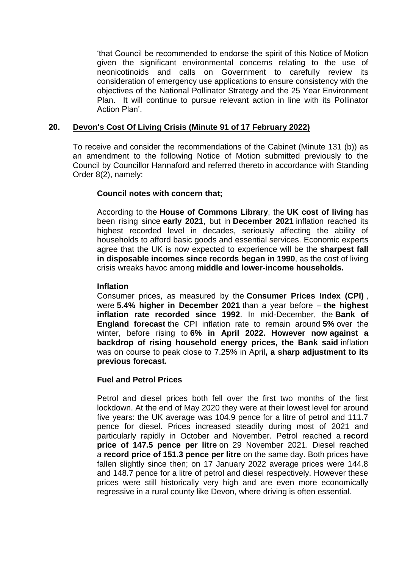'that Council be recommended to endorse the spirit of this Notice of Motion given the significant environmental concerns relating to the use of neonicotinoids and calls on Government to carefully review its consideration of emergency use applications to ensure consistency with the objectives of the National Pollinator Strategy and the 25 Year Environment Plan. It will continue to pursue relevant action in line with its Pollinator Action Plan'.

# **20. Devon's Cost Of Living Crisis (Minute 91 of 17 February 2022)**

To receive and consider the recommendations of the Cabinet (Minute 131 (b)) as an amendment to the following Notice of Motion submitted previously to the Council by Councillor Hannaford and referred thereto in accordance with Standing Order 8(2), namely:

### **Council notes with concern that;**

According to the **House of Commons Library**, the **UK cost of living** has been rising since **early 2021**, but in **December 2021** inflation reached its highest recorded level in decades, seriously affecting the ability of households to afford basic goods and essential services. Economic experts agree that the UK is now expected to experience will be the **sharpest fall in disposable incomes since records began in 1990**, as the cost of living crisis wreaks havoc among **middle and lower-income households.**

### **Inflation**

Consumer prices, as measured by the **Consumer Prices Index (CPI)** , were **5.4% higher in December 2021** than a year before – **the highest inflation rate recorded since 1992**. In mid-December, the **Bank of England forecast** the CPI inflation rate to remain around **5%** over the winter, before rising to **6% in April 2022. However now against a backdrop of rising household energy prices, the Bank said** inflation was on course to peak close to 7.25% in April**, a sharp adjustment to its previous forecast.**

### **Fuel and Petrol Prices**

Petrol and diesel prices both fell over the first two months of the first lockdown. At the end of May 2020 they were at their lowest level for around five years: the UK average was 104.9 pence for a litre of petrol and 111.7 pence for diesel. Prices increased steadily during most of 2021 and particularly rapidly in October and November. Petrol reached a **record price of 147.5 pence per litre** on 29 November 2021. Diesel reached a **record price of 151.3 pence per litre** on the same day. Both prices have fallen slightly since then; on 17 January 2022 average prices were 144.8 and 148.7 pence for a litre of petrol and diesel respectively. However these prices were still historically very high and are even more economically regressive in a rural county like Devon, where driving is often essential.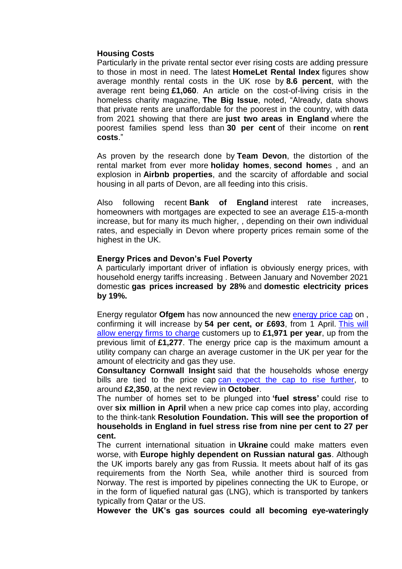# **Housing Costs**

Particularly in the private rental sector ever rising costs are adding pressure to those in most in need. The latest **HomeLet Rental Index** figures show average monthly rental costs in the UK rose by **8.6 percent**, with the average rent being **£1,060**. An article on the cost-of-living crisis in the homeless charity magazine, **The Big Issue**, noted, "Already, data shows that private rents are unaffordable for the poorest in the country, with data from 2021 showing that there are **just two areas in England** where the poorest families spend less than **30 per cent** of their income on **rent costs**."

As proven by the research done by **Team Devon**, the distortion of the rental market from ever more **holiday homes**, **second home**s , and an explosion in **Airbnb properties**, and the scarcity of affordable and social housing in all parts of Devon, are all feeding into this crisis.

Also following recent **Bank of England** interest rate increases, homeowners with mortgages are expected to see an average £15-a-month increase, but for many its much higher, , depending on their own individual rates, and especially in Devon where property prices remain some of the highest in the UK.

#### **Energy Prices and Devon's Fuel Poverty**

A particularly important driver of inflation is obviously energy prices, with household energy tariffs increasing . Between January and November 2021 domestic **gas prices increased by 28%** and **domestic electricity prices by 19%.**

Energy regulator **Ofgem** has now announced the new [energy price cap](https://eur02.safelinks.protection.outlook.com/?url=https%3A%2F%2Finews.co.uk%2Fnews%2Fenergy-price-cap-what-uk-how-much-current-ofgem-rate-increase-2022-meaning-explained-1438620%3Fico%3Din-line_link&data=04%7C01%7Ckaren.strahan%40devon.gov.uk%7C0f1ff6d1fa2447b9c8d808d9e74e9726%7C8da13783cb68443fbb4b997f77fd5bfb%7C0%7C0%7C637795147000103015%7CUnknown%7CTWFpbGZsb3d8eyJWIjoiMC4wLjAwMDAiLCJQIjoiV2luMzIiLCJBTiI6Ik1haWwiLCJXVCI6Mn0%3D%7C3000&sdata=5%2F0ooqqjqb60oWbHiixGOOJ9WyNQszwPc9NgtuXJ6Y0%3D&reserved=0) on , confirming it will increase by **54 per cent, or £693**, from 1 April. [This will](https://eur02.safelinks.protection.outlook.com/?url=https%3A%2F%2Finews.co.uk%2Fnews%2Fconsumer%2Fmisery-high-bills-drag-homes-face-hiked-energy-costs-years-1438587%3Fico%3Din-line_link&data=04%7C01%7Ckaren.strahan%40devon.gov.uk%7C0f1ff6d1fa2447b9c8d808d9e74e9726%7C8da13783cb68443fbb4b997f77fd5bfb%7C0%7C0%7C637795147000103015%7CUnknown%7CTWFpbGZsb3d8eyJWIjoiMC4wLjAwMDAiLCJQIjoiV2luMzIiLCJBTiI6Ik1haWwiLCJXVCI6Mn0%3D%7C3000&sdata=wDNykUs3ZxMsOn8chbnwBysUQaZaDErGKmRsKYLzMSs%3D&reserved=0)  [allow energy firms to charge](https://eur02.safelinks.protection.outlook.com/?url=https%3A%2F%2Finews.co.uk%2Fnews%2Fconsumer%2Fmisery-high-bills-drag-homes-face-hiked-energy-costs-years-1438587%3Fico%3Din-line_link&data=04%7C01%7Ckaren.strahan%40devon.gov.uk%7C0f1ff6d1fa2447b9c8d808d9e74e9726%7C8da13783cb68443fbb4b997f77fd5bfb%7C0%7C0%7C637795147000103015%7CUnknown%7CTWFpbGZsb3d8eyJWIjoiMC4wLjAwMDAiLCJQIjoiV2luMzIiLCJBTiI6Ik1haWwiLCJXVCI6Mn0%3D%7C3000&sdata=wDNykUs3ZxMsOn8chbnwBysUQaZaDErGKmRsKYLzMSs%3D&reserved=0) customers up to **£1,971 per year**, up from the previous limit of **£1,277**. The energy price cap is the maximum amount a utility company can charge an average customer in the UK per year for the amount of electricity and gas they use.

**Consultancy Cornwall Insight** said that the households whose energy bills are tied to the price cap [can expect the cap to rise further,](https://eur02.safelinks.protection.outlook.com/?url=https%3A%2F%2Finews.co.uk%2Finews-lifestyle%2Fmoney%2Fbills%2Fenergy-prices-why-going-up-price-cap-rising-ofgem-announcement-bills-explained-1439602%3Fico%3Din-line_link&data=04%7C01%7Ckaren.strahan%40devon.gov.uk%7C0f1ff6d1fa2447b9c8d808d9e74e9726%7C8da13783cb68443fbb4b997f77fd5bfb%7C0%7C0%7C637795147000103015%7CUnknown%7CTWFpbGZsb3d8eyJWIjoiMC4wLjAwMDAiLCJQIjoiV2luMzIiLCJBTiI6Ik1haWwiLCJXVCI6Mn0%3D%7C3000&sdata=sweRAxfP0Y6ylNdlPpFomwtJpjl8YZNcM6%2FbN3EXUPg%3D&reserved=0) to around **£2,350**, at the next review in **October**.

The number of homes set to be plunged into **'fuel stress'** could rise to over **six million in April** when a new price cap comes into play, according to the think-tank **Resolution Foundation. This will see the proportion of households in England in fuel stress rise from nine per cent to 27 per cent.**

The current international situation in **Ukraine** could make matters even worse, with **Europe highly dependent on Russian natural gas**. Although the UK imports barely any gas from Russia. It meets about half of its gas requirements from the North Sea, while another third is sourced from Norway. The rest is imported by pipelines connecting the UK to Europe, or in the form of liquefied natural gas (LNG), which is transported by tankers typically from Qatar or the US.

**However the UK's gas sources could all becoming eye-wateringly**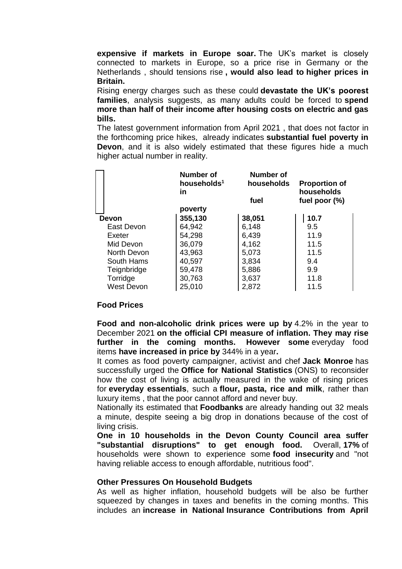**expensive if markets in Europe soar.** The UK's market is closely connected to markets in Europe, so a price rise in Germany or the Netherlands , should tensions rise **, would also lead to higher prices in Britain.**

Rising energy charges such as these could **devastate the UK's poorest families**, analysis suggests, as many adults could be forced to **spend more than half of their income after housing costs on electric and gas bills.**

The latest government information from April 2021 , that does not factor in the forthcoming price hikes, already indicates **substantial fuel poverty in Devon**, and it is also widely estimated that these figures hide a much higher actual number in reality.

|                   | Number of<br>households <sup>1</sup><br>in<br>poverty | <b>Number of</b><br>households<br>fuel | <b>Proportion of</b><br>households<br>fuel poor $(\%)$ |
|-------------------|-------------------------------------------------------|----------------------------------------|--------------------------------------------------------|
| Devon             | 355,130                                               | 38,051                                 | 10.7                                                   |
| East Devon        | 64,942                                                | 6,148                                  | 9.5                                                    |
| Exeter            | 54,298                                                | 6,439                                  | 11.9                                                   |
| Mid Devon         | 36,079                                                | 4,162                                  | 11.5                                                   |
| North Devon       | 43,963                                                | 5,073                                  | 11.5                                                   |
| South Hams        | 40,597                                                | 3,834                                  | 9.4                                                    |
| Teignbridge       | 59,478                                                | 5,886                                  | 9.9                                                    |
| Torridge          | 30,763                                                | 3,637                                  | 11.8                                                   |
| <b>West Devon</b> | 25,010                                                | 2,872                                  | 11.5                                                   |

#### **Food Prices**

**Food and non-alcoholic drink prices were up by** 4.2% in the year to December 2021 **on the official CPI measure of inflation. They may rise further in the coming months. However some** everyday food items **have increased in price by** 344% in a year**.**

It comes as food poverty campaigner, activist and chef **Jack Monroe** has successfully urged the **Office for National Statistics** (ONS) to reconsider how the cost of living is actually measured in the wake of rising prices for **everyday essentials**, such a **flour, pasta, rice and milk**, rather than luxury items , that the poor cannot afford and never buy.

Nationally its estimated that **Foodbanks** are already handing out 32 meals a minute, despite seeing a big drop in donations because of the cost of living crisis.

**One in 10 households in the Devon County Council area suffer "substantial disruptions" to get enough food.** Overall, **17%** of households were shown to experience some **food insecurity** and "not having reliable access to enough affordable, nutritious food".

#### **Other Pressures On Household Budgets**

As well as higher inflation, household budgets will be also be further squeezed by changes in taxes and benefits in the coming months. This includes an **increase in National Insurance Contributions from April**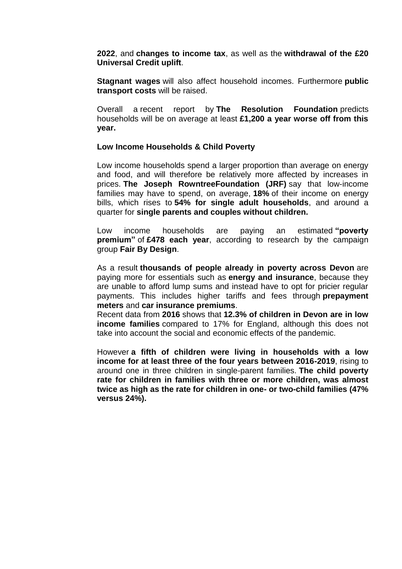**2022**, and **changes to income tax**, as well as the **withdrawal of the £20 Universal Credit uplift**.

**Stagnant wages** will also affect household incomes. Furthermore **public transport costs** will be raised.

Overall a recent report by **The Resolution Foundation** predicts households will be on average at least **£1,200 a year worse off from this year.**

#### **Low Income Households & Child Poverty**

Low income households spend a larger proportion than average on energy and food, and will therefore be relatively more affected by increases in prices. **The Joseph RowntreeFoundation (JRF)** say that low-income families may have to spend, on average, **18%** of their income on energy bills, which rises to **54% for single adult households**, and around a quarter for **single parents and couples without children.**

Low income households are paying an estimated **"poverty premium"** of **£478 each year**, according to research by the campaign group **Fair By Design**.

As a result **thousands of people already in poverty across Devon** are paying more for essentials such as **energy and insurance**, because they are unable to afford lump sums and instead have to opt for pricier regular payments. This includes higher tariffs and fees through **prepayment meters** and **car insurance premiums**.

Recent data from **2016** shows that **12.3% of children in Devon are in low income families** compared to 17% for England, although this does not take into account the social and economic effects of the pandemic.

However **a fifth of children were living in households with a low income for at least three of the four years between 2016-2019**, rising to around one in three children in single-parent families. **The child poverty rate for children in families with three or more children, was almost twice as high as the rate for children in one- or two-child families (47% versus 24%).**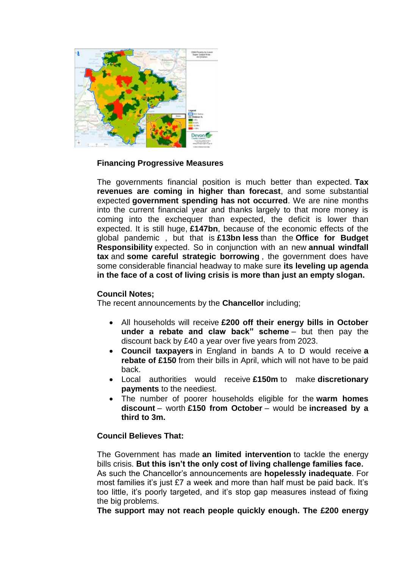

### **Financing Progressive Measures**

The governments financial position is much better than expected. **Tax revenues are coming in higher than forecast**, and some substantial expected **government spending has not occurred**. We are nine months into the current financial year and thanks largely to that more money is coming into the exchequer than expected, the deficit is lower than expected. It is still huge, **£147bn**, because of the economic effects of the global pandemic , but that is **£13bn less** than the **Office for Budget Responsibility** expected. So in conjunction with an new **annual windfall tax** and **some careful strategic borrowing** , the government does have some considerable financial headway to make sure **its leveling up agenda in the face of a cost of living crisis is more than just an empty slogan.**

#### **Council Notes;**

The recent announcements by the **Chancellor** including;

- All households will receive **£200 off their energy bills in October under a rebate and claw back" scheme** – but then pay the discount back by £40 a year over five years from 2023.
- **Council taxpayers** in England in bands A to D would receive **a rebate of £150** from their bills in April, which will not have to be paid back.
- Local authorities would receive **£150m** to make **discretionary payments** to the neediest.
- The number of poorer households eligible for the **warm homes discount** – worth **£150 from October** – would be **increased by a third to 3m.**

### **Council Believes That:**

The Government has made **an limited intervention** to tackle the energy bills crisis. **But this isn't the only cost of living challenge families face.** As such the Chancellor's announcements are **hopelessly inadequate**. For most families it's just £7 a week and more than half must be paid back. It's too little, it's poorly targeted, and it's stop gap measures instead of fixing the big problems.

**The support may not reach people quickly enough. The £200 energy**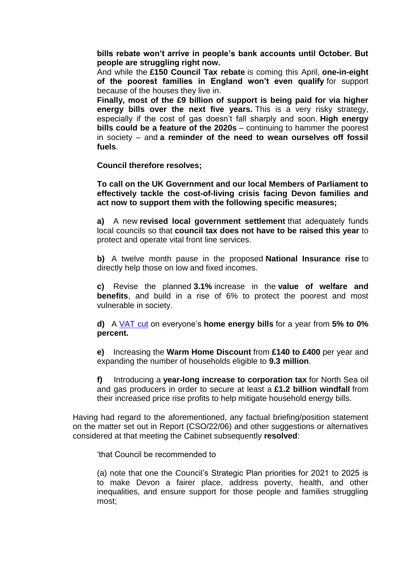**bills rebate won't arrive in people's bank accounts until October. But people are struggling right now.**

And while the **£150 Council Tax rebate** is coming this April, **one-in-eight of the poorest families in England won't even qualify** for support because of the houses they live in.

**Finally, most of the £9 billion of support is being paid for via higher energy bills over the next five years.** This is a very risky strategy, especially if the cost of gas doesn't fall sharply and soon. **High energy bills could be a feature of the 2020s** – continuing to hammer the poorest in society – and **a reminder of the need to wean ourselves off fossil fuels**.

**Council therefore resolves;**

**To call on the UK Government and our local Members of Parliament to effectively tackle the cost-of-living crisis facing Devon families and act now to support them with the following specific measures;**

**a)** A new **revised local government settlement** that adequately funds local councils so that **council tax does not have to be raised this year** to protect and operate vital front line services.

**b)** A twelve month pause in the proposed **National Insurance rise** to directly help those on low and fixed incomes.

**c)** Revise the planned **3.1%** increase in the **value of welfare and benefits**, and build in a rise of 6% to protect the poorest and most vulnerable in society.

**d)** A [VAT cut](https://eur02.safelinks.protection.outlook.com/?url=https%3A%2F%2Fwww.mirror.co.uk%2Fnews%2Fpolitics%2Ftory-mps-vote-down-plan-25919002&data=04%7C01%7Ckaren.strahan%40devon.gov.uk%7C0f1ff6d1fa2447b9c8d808d9e74e9726%7C8da13783cb68443fbb4b997f77fd5bfb%7C0%7C0%7C637795147000103015%7CUnknown%7CTWFpbGZsb3d8eyJWIjoiMC4wLjAwMDAiLCJQIjoiV2luMzIiLCJBTiI6Ik1haWwiLCJXVCI6Mn0%3D%7C3000&sdata=Wrl%2BP%2FOI2D6HywTiXsj60q9Y%2FAjW%2BdxwcIgnS4HxVAg%3D&reserved=0) on everyone's **home energy bills** for a year from **5% to 0% percent.**

**e)** Increasing the **Warm Home Discount** from **£140 to £400** per year and expanding the number of households eligible to **9.3 million**.

**f)** Introducing a **year-long increase to corporation tax** for North Sea oil and gas producers in order to secure at least a **£1.2 billion windfall** from their increased price rise profits to help mitigate household energy bills.

Having had regard to the aforementioned, any factual briefing/position statement on the matter set out in Report (CSO/22/06) and other suggestions or alternatives considered at that meeting the Cabinet subsequently **resolved**:

'that Council be recommended to

(a) note that one the Council's Strategic Plan priorities for 2021 to 2025 is to make Devon a fairer place, address poverty, health, and other inequalities, and ensure support for those people and families struggling most;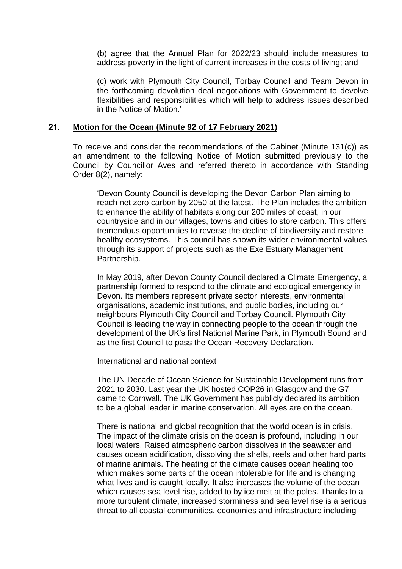(b) agree that the Annual Plan for 2022/23 should include measures to address poverty in the light of current increases in the costs of living; and

(c) work with Plymouth City Council, Torbay Council and Team Devon in the forthcoming devolution deal negotiations with Government to devolve flexibilities and responsibilities which will help to address issues described in the Notice of Motion.'

#### **21. Motion for the Ocean (Minute 92 of 17 February 2021)**

To receive and consider the recommendations of the Cabinet (Minute 131(c)) as an amendment to the following Notice of Motion submitted previously to the Council by Councillor Aves and referred thereto in accordance with Standing Order 8(2), namely:

'Devon County Council is developing the Devon Carbon Plan aiming to reach net zero carbon by 2050 at the latest. The Plan includes the ambition to enhance the ability of habitats along our 200 miles of coast, in our countryside and in our villages, towns and cities to store carbon. This offers tremendous opportunities to reverse the decline of biodiversity and restore healthy ecosystems. This council has shown its wider environmental values through its support of projects such as the Exe Estuary Management Partnership.

In May 2019, after Devon County Council declared a Climate Emergency, a partnership formed to respond to the climate and ecological emergency in Devon. Its members represent private sector interests, environmental organisations, academic institutions, and public bodies, including our neighbours Plymouth City Council and Torbay Council. Plymouth City Council is leading the way in connecting people to the ocean through the development of the UK's first National Marine Park, in Plymouth Sound and as the first Council to pass the Ocean Recovery Declaration.

#### International and national context

The UN Decade of Ocean Science for Sustainable Development runs from 2021 to 2030. Last year the UK hosted COP26 in Glasgow and the G7 came to Cornwall. The UK Government has publicly declared its ambition to be a global leader in marine conservation. All eyes are on the ocean.

There is national and global recognition that the world ocean is in crisis. The impact of the climate crisis on the ocean is profound, including in our local waters. Raised atmospheric carbon dissolves in the seawater and causes ocean acidification, dissolving the shells, reefs and other hard parts of marine animals. The heating of the climate causes ocean heating too which makes some parts of the ocean intolerable for life and is changing what lives and is caught locally. It also increases the volume of the ocean which causes sea level rise, added to by ice melt at the poles. Thanks to a more turbulent climate, increased storminess and sea level rise is a serious threat to all coastal communities, economies and infrastructure including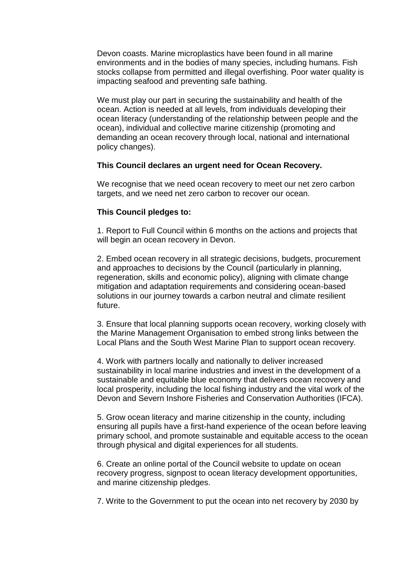Devon coasts. Marine microplastics have been found in all marine environments and in the bodies of many species, including humans. Fish stocks collapse from permitted and illegal overfishing. Poor water quality is impacting seafood and preventing safe bathing.

We must play our part in securing the sustainability and health of the ocean. Action is needed at all levels, from individuals developing their ocean literacy (understanding of the relationship between people and the ocean), individual and collective marine citizenship (promoting and demanding an ocean recovery through local, national and international policy changes).

#### **This Council declares an urgent need for Ocean Recovery.**

We recognise that we need ocean recovery to meet our net zero carbon targets, and we need net zero carbon to recover our ocean.

### **This Council pledges to:**

1. Report to Full Council within 6 months on the actions and projects that will begin an ocean recovery in Devon.

2. Embed ocean recovery in all strategic decisions, budgets, procurement and approaches to decisions by the Council (particularly in planning, regeneration, skills and economic policy), aligning with climate change mitigation and adaptation requirements and considering ocean-based solutions in our journey towards a carbon neutral and climate resilient future.

3. Ensure that local planning supports ocean recovery, working closely with the Marine Management Organisation to embed strong links between the Local Plans and the South West Marine Plan to support ocean recovery.

4. Work with partners locally and nationally to deliver increased sustainability in local marine industries and invest in the development of a sustainable and equitable blue economy that delivers ocean recovery and local prosperity, including the local fishing industry and the vital work of the Devon and Severn Inshore Fisheries and Conservation Authorities (IFCA).

5. Grow ocean literacy and marine citizenship in the county, including ensuring all pupils have a first-hand experience of the ocean before leaving primary school, and promote sustainable and equitable access to the ocean through physical and digital experiences for all students.

6. Create an online portal of the Council website to update on ocean recovery progress, signpost to ocean literacy development opportunities, and marine citizenship pledges.

7. Write to the Government to put the ocean into net recovery by 2030 by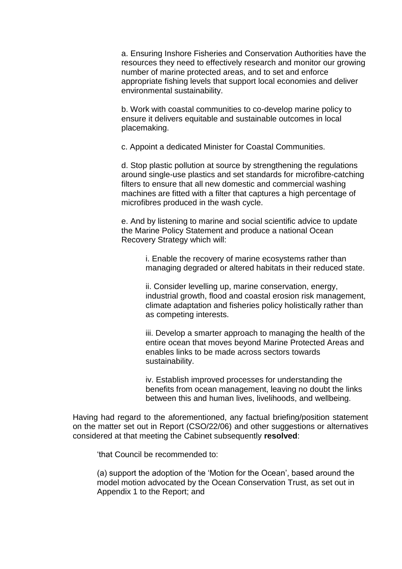a. Ensuring Inshore Fisheries and Conservation Authorities have the resources they need to effectively research and monitor our growing number of marine protected areas, and to set and enforce appropriate fishing levels that support local economies and deliver environmental sustainability.

b. Work with coastal communities to co-develop marine policy to ensure it delivers equitable and sustainable outcomes in local placemaking.

c. Appoint a dedicated Minister for Coastal Communities.

d. Stop plastic pollution at source by strengthening the regulations around single-use plastics and set standards for microfibre-catching filters to ensure that all new domestic and commercial washing machines are fitted with a filter that captures a high percentage of microfibres produced in the wash cycle.

e. And by listening to marine and social scientific advice to update the Marine Policy Statement and produce a national Ocean Recovery Strategy which will:

i. Enable the recovery of marine ecosystems rather than managing degraded or altered habitats in their reduced state.

ii. Consider levelling up, marine conservation, energy, industrial growth, flood and coastal erosion risk management, climate adaptation and fisheries policy holistically rather than as competing interests.

iii. Develop a smarter approach to managing the health of the entire ocean that moves beyond Marine Protected Areas and enables links to be made across sectors towards sustainability.

iv. Establish improved processes for understanding the benefits from ocean management, leaving no doubt the links between this and human lives, livelihoods, and wellbeing.

Having had regard to the aforementioned, any factual briefing/position statement on the matter set out in Report (CSO/22/06) and other suggestions or alternatives considered at that meeting the Cabinet subsequently **resolved**:

'that Council be recommended to:

(a) support the adoption of the 'Motion for the Ocean', based around the model motion advocated by the Ocean Conservation Trust, as set out in Appendix 1 to the Report; and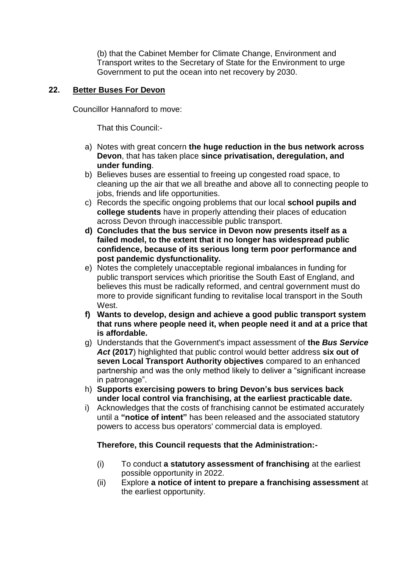(b) that the Cabinet Member for Climate Change, Environment and Transport writes to the Secretary of State for the Environment to urge Government to put the ocean into net recovery by 2030.

# **22. Better Buses For Devon**

Councillor Hannaford to move:

That this Council:-

- a) Notes with great concern **the huge reduction in the bus network across Devon**, that has taken place **since privatisation, deregulation, and under funding**.
- b) Believes buses are essential to freeing up congested road space, to cleaning up the air that we all breathe and above all to connecting people to jobs, friends and life opportunities.
- c) Records the specific ongoing problems that our local **school pupils and college students** have in properly attending their places of education across Devon through inaccessible public transport.
- **d) Concludes that the bus service in Devon now presents itself as a failed model, to the extent that it no longer has widespread public confidence, because of its serious long term poor performance and post pandemic dysfunctionality.**
- e) Notes the completely unacceptable regional imbalances in funding for public transport services which prioritise the South East of England, and believes this must be radically reformed, and central government must do more to provide significant funding to revitalise local transport in the South West.
- **f) Wants to develop, design and achieve a good public transport system that runs where people need it, when people need it and at a price that is affordable.**
- g) Understands that the Government's impact assessment of **the** *Bus Service Act* **(2017**) highlighted that public control would better address **six out of seven Local Transport Authority objectives** compared to an enhanced partnership and was the only method likely to deliver a "significant increase in patronage".
- h) **Supports exercising powers to bring Devon's bus services back under local control via franchising, at the earliest practicable date.**
- i) Acknowledges that the costs of franchising cannot be estimated accurately until a **"notice of intent"** has been released and the associated statutory powers to access bus operators' commercial data is employed.

# **Therefore, this Council requests that the Administration:-**

- (i) To conduct **a statutory assessment of franchising** at the earliest possible opportunity in 2022.
- (ii) Explore **a notice of intent to prepare a franchising assessment** at the earliest opportunity.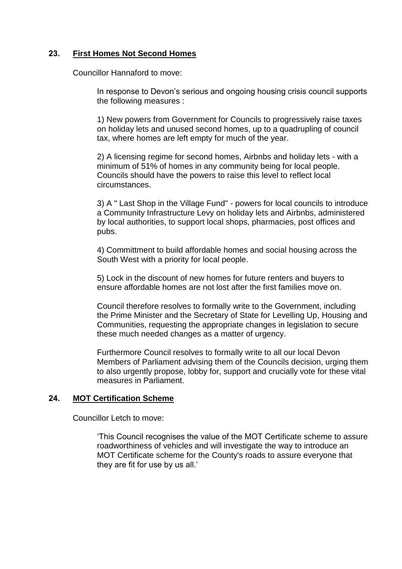# **23. First Homes Not Second Homes**

Councillor Hannaford to move:

In response to Devon's serious and ongoing housing crisis council supports the following measures :

1) New powers from Government for Councils to progressively raise taxes on holiday lets and unused second homes, up to a quadrupling of council tax, where homes are left empty for much of the year.

2) A licensing regime for second homes, Airbnbs and holiday lets - with a minimum of 51% of homes in any community being for local people. Councils should have the powers to raise this level to reflect local circumstances.

3) A " Last Shop in the Village Fund" - powers for local councils to introduce a Community Infrastructure Levy on holiday lets and Airbnbs, administered by local authorities, to support local shops, pharmacies, post offices and pubs.

4) Committment to build affordable homes and social housing across the South West with a priority for local people.

5) Lock in the discount of new homes for future renters and buyers to ensure affordable homes are not lost after the first families move on.

Council therefore resolves to formally write to the Government, including the Prime Minister and the Secretary of State for Levelling Up, Housing and Communities, requesting the appropriate changes in legislation to secure these much needed changes as a matter of urgency.

Furthermore Council resolves to formally write to all our local Devon Members of Parliament advising them of the Councils decision, urging them to also urgently propose, lobby for, support and crucially vote for these vital measures in Parliament.

# **24. MOT Certification Scheme**

Councillor Letch to move:

'This Council recognises the value of the MOT Certificate scheme to assure roadworthiness of vehicles and will investigate the way to introduce an MOT Certificate scheme for the County's roads to assure everyone that they are fit for use by us all.'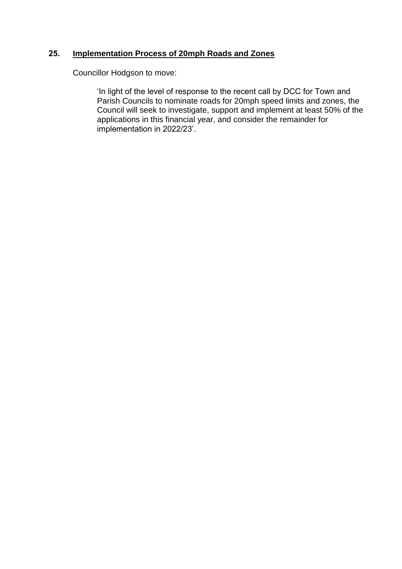# **25. Implementation Process of 20mph Roads and Zones**

Councillor Hodgson to move:

'In light of the level of response to the recent call by DCC for Town and Parish Councils to nominate roads for 20mph speed limits and zones, the Council will seek to investigate, support and implement at least 50% of the applications in this financial year, and consider the remainder for implementation in 2022/23'.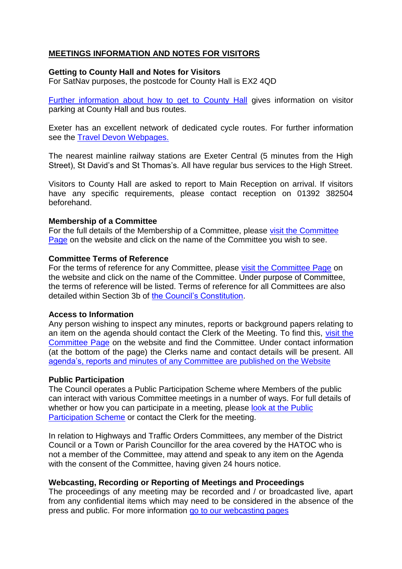# **MEETINGS INFORMATION AND NOTES FOR VISITORS**

### **Getting to County Hall and Notes for Visitors**

For SatNav purposes, the postcode for County Hall is EX2 4QD

[Further information about how to get to County Hall](https://new.devon.gov.uk/help/visiting-county-hall/) gives information on visitor parking at County Hall and bus routes.

Exeter has an excellent network of dedicated cycle routes. For further information see the [Travel Devon Webpages.](https://www.traveldevon.info/cycle/)

The nearest mainline railway stations are Exeter Central (5 minutes from the High Street), St David's and St Thomas's. All have regular bus services to the High Street.

Visitors to County Hall are asked to report to Main Reception on arrival. If visitors have any specific requirements, please contact reception on 01392 382504 beforehand.

# **Membership of a Committee**

For the full details of the Membership of a Committee, please [visit the Committee](https://democracy.devon.gov.uk/mgListCommittees.aspx?bcr=1)  [Page](https://democracy.devon.gov.uk/mgListCommittees.aspx?bcr=1) on the website and click on the name of the Committee you wish to see.

### **Committee Terms of Reference**

For the terms of reference for any Committee, please [visit the Committee Page](https://democracy.devon.gov.uk/mgListCommittees.aspx?bcr=1) on the website and click on the name of the Committee. Under purpose of Committee, the terms of reference will be listed. Terms of reference for all Committees are also detailed within Section 3b of [the Council's Constitution.](https://democracy.devon.gov.uk/ieListDocuments.aspx?CId=416&MId=2487&Ver=4&info=1)

### **Access to Information**

Any person wishing to inspect any minutes, reports or background papers relating to an item on the agenda should contact the Clerk of the Meeting. To find this, [visit the](https://democracy.devon.gov.uk/mgListCommittees.aspx?bcr=1)  [Committee Page](https://democracy.devon.gov.uk/mgListCommittees.aspx?bcr=1) on the website and find the Committee. Under contact information (at the bottom of the page) the Clerks name and contact details will be present. All [agenda's, reports and minutes of any Committee are published on the Website](https://democracy.devon.gov.uk/mgListCommittees.aspx?bcr=1)

### **Public Participation**

The Council operates a Public Participation Scheme where Members of the public can interact with various Committee meetings in a number of ways. For full details of whether or how you can participate in a meeting, please look at the Public [Participation Scheme](https://www.devon.gov.uk/democracy/guide/public-participation-at-committee-meetings/part-1-can-i-attend-a-meeting/) or contact the Clerk for the meeting.

In relation to Highways and Traffic Orders Committees, any member of the District Council or a Town or Parish Councillor for the area covered by the HATOC who is not a member of the Committee, may attend and speak to any item on the Agenda with the consent of the Committee, having given 24 hours notice.

# **Webcasting, Recording or Reporting of Meetings and Proceedings**

The proceedings of any meeting may be recorded and / or broadcasted live, apart from any confidential items which may need to be considered in the absence of the press and public. For more information [go to our webcasting pages](https://devoncc.public-i.tv/core/portal/home)